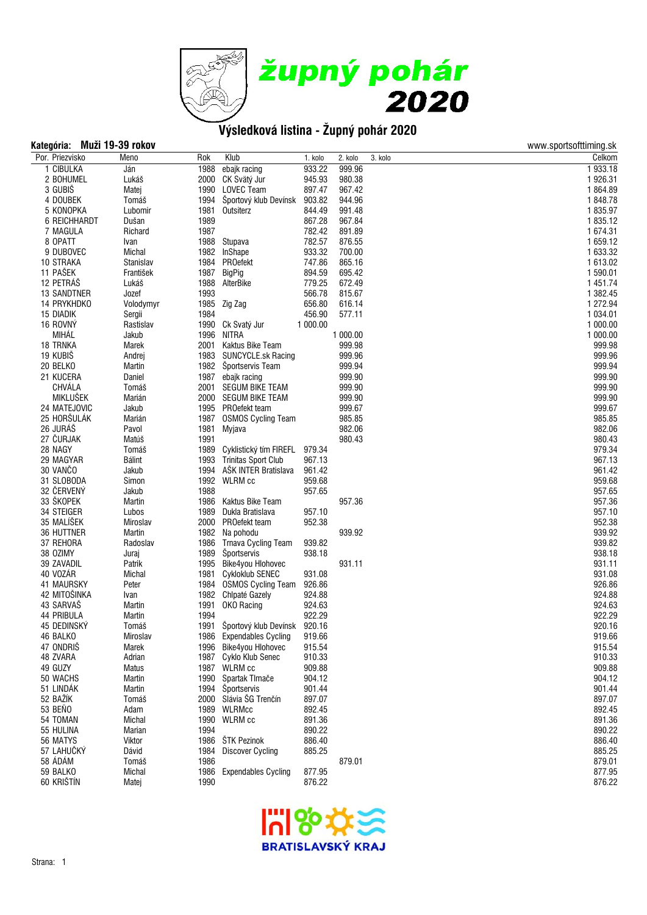

# **Kategória: Muži 19-39 rokov** www.sportsofttiming.sk

| nunuyunun          | <b>THAMEL TA AND LATER</b> |      |                                   |          |          |         | www.oportoortummy.or |
|--------------------|----------------------------|------|-----------------------------------|----------|----------|---------|----------------------|
| Por. Priezvisko    | Meno                       | Rok  | Klub                              | 1. kolo  | 2. kolo  | 3. kolo | Celkom               |
| 1 CIBULKA          | Ján                        |      | 1988 ebajk racing                 | 933.22   | 999.96   |         | 1933.18              |
| 2 BOHUMEL          | Lukáš                      |      | 2000 CK Svätý Jur                 | 945.93   | 980.38   |         | 1926.31              |
| 3 GUBIŠ            | Matej                      |      | 1990 LOVEC Team                   | 897.47   | 967.42   |         | 1864.89              |
| 4 DOUBEK           | Tomáš                      |      | 1994 Športový klub Devínsk        | 903.82   | 944.96   |         | 1848.78              |
| 5 KONOPKA          | Lubomir                    | 1981 | Outsiterz                         | 844.49   | 991.48   |         | 1835.97              |
| 6 REICHHARDT       | Dušan                      | 1989 |                                   | 867.28   | 967.84   |         | 1835.12              |
| 7 MAGULA           | Richard                    | 1987 |                                   | 782.42   | 891.89   |         | 1 674.31             |
| 8 OPATT            | Ivan                       |      | 1988 Stupava                      | 782.57   | 876.55   |         | 1659.12              |
| 9 DUBOVEC          | Michal                     |      | 1982 InShape                      | 933.32   | 700.00   |         | 1 633.32             |
| 10 STRAKA          | Stanislav                  |      | 1984 PROefekt                     | 747.86   | 865.16   |         | 1 613.02             |
| 11 PAŠEK           | František                  | 1987 | BigPig                            | 894.59   | 695.42   |         | 1590.01              |
| 12 PETRÁŠ          | Lukáš                      |      | 1988 AlterBike                    | 779.25   | 672.49   |         | 1 451.74             |
| <b>13 SANDTNER</b> | Jozef                      | 1993 |                                   | 566.78   | 815.67   |         | 1 382.45             |
| 14 PRYKHDKO        | Volodymyr                  |      | 1985 Zig Zag                      | 656.80   | 616.14   |         | 1 272.94             |
| 15 DIADIK          | Sergii                     | 1984 |                                   | 456.90   | 577.11   |         | 1 0 3 4 . 0 1        |
| 16 ROVNÝ           | Rastislav                  |      | 1990 Ck Svatý Jur                 | 1 000.00 |          |         | 1 000.00             |
| MIHÁĽ              | Jakub                      |      | 1996 NITRA                        |          | 1 000.00 |         | 1 000.00             |
| 18 TRNKA           | Marek                      |      | 2001 Kaktus Bike Team             |          | 999.98   |         | 999.98               |
| 19 KUBIŠ           | Andrej                     |      | 1983 SUNCYCLE.sk Racing           |          | 999.96   |         | 999.96               |
| 20 BELKO           | Martin                     |      | 1982 Športservis Team             |          | 999.94   |         | 999.94               |
| 21 KUCERA          | Daniel                     |      | 1987 ebajk racing                 |          | 999.90   |         | 999.90               |
| CHVÁLA             | Tomáš                      |      | 2001 SEGUM BIKE TEAM              |          | 999.90   |         | 999.90               |
| <b>MIKLUŠEK</b>    | Marián                     |      | 2000 SEGUM BIKE TEAM              |          | 999.90   |         | 999.90               |
| 24 MATEJOVIC       | Jakub                      |      | 1995 PROefekt team                |          | 999.67   |         | 999.67               |
| 25 HORŠULÁK        | Marián                     |      | 1987 OSMOS Cycling Team           |          | 985.85   |         | 985.85               |
| 26 JURÁŠ           | Pavol                      | 1981 | Myjava                            |          | 982.06   |         | 982.06               |
| 27 ČURJAK          | Matúš                      | 1991 |                                   |          | 980.43   |         | 980.43               |
| 28 NAGY            | Tomáš                      |      | 1989 Cyklistický tím FIREFL       | 979.34   |          |         | 979.34               |
| 29 MAGYAR          | Bálint                     |      | 1993 Trinitas Sport Club          | 967.13   |          |         | 967.13               |
| 30 VANČO           | Jakub                      |      | 1994 AŠK INTER Bratislava         | 961.42   |          |         | 961.42               |
| 31 SLOBODA         | Simon                      |      | 1992 WLRM cc                      | 959.68   |          |         | 959.68               |
| 32 ČERVENÝ         | Jakub                      | 1988 |                                   | 957.65   |          |         | 957.65               |
| 33 ŠKOPEK          | Martin                     |      | 1986 Kaktus Bike Team             |          | 957.36   |         | 957.36               |
| 34 STEIGER         | Lubos                      |      | 1989 Dukla Bratislava             | 957.10   |          |         | 957.10               |
| 35 MALÍŠEK         | Miroslav                   |      | 2000 PROefekt team                | 952.38   |          |         | 952.38               |
| 36 HUTTNER         | Martin                     |      | 1982 Na pohodu                    |          | 939.92   |         | 939.92               |
| 37 REHORA          | Radoslav                   |      | 1986 Trnava Cycling Team          | 939.82   |          |         | 939.82               |
| 38 OZIMY           | Juraj                      |      | 1989 Športservis                  | 938.18   |          |         | 938.18               |
| 39 ZAVADIL         | Patrik                     |      | 1995 Bike4you Hlohovec            |          | 931.11   |         | 931.11               |
| 40 VOZÁR           | Michal                     |      | 1981 Cykloklub SENEC              | 931.08   |          |         | 931.08               |
| <b>41 MAURSKY</b>  | Peter                      |      | 1984 OSMOS Cycling Team           | 926.86   |          |         | 926.86               |
| 42 MITOŠINKA       | Ivan                       |      | 1982 Chlpaté Gazely               | 924.88   |          |         | 924.88               |
| 43 SARVAŠ          | Martin                     | 1991 | OKO Racing                        | 924.63   |          |         | 924.63               |
| <b>44 PRIBULA</b>  | Martin                     | 1994 |                                   | 922.29   |          |         | 922.29               |
| 45 DEDINSKÝ        | Tomáš                      |      | 1991 Športový klub Devínsk 920.16 |          |          |         | 920.16               |
| 46 BALKO           | Miroslav                   |      | 1986 Expendables Cycling          | 919.66   |          |         | 919.66               |
| 47 ONDRIS          | Marek                      |      | 1996 Bike4you Hlohovec            | 915.54   |          |         | 915.54               |
| 48 ZVARA           | Adrian                     | 1987 | Cyklo Klub Senec                  | 910.33   |          |         | 910.33               |
| 49 GUZY            | Matus                      | 1987 | WLRM cc                           | 909.88   |          |         | 909.88               |
| 50 WACHS           | Martin                     |      | 1990 Spartak Timače               | 904.12   |          |         | 904.12               |
| 51 LINDÁK          | Martin                     |      | 1994 Športservis                  | 901.44   |          |         | 901.44               |
| 52 BAŽÍK           | Tomáš                      |      | 2000 Slávia ŠG Trenčín            | 897.07   |          |         | 897.07               |
| 53 BENO            | Adam                       | 1989 | <b>WLRMcc</b>                     | 892.45   |          |         | 892.45               |
| 54 TOMAN           | Michal                     | 1990 | <b>WLRM</b> cc                    | 891.36   |          |         | 891.36               |
| 55 HULINA          | Marian                     | 1994 |                                   | 890.22   |          |         | 890.22               |
| 56 MATYS           | Viktor                     | 1986 | ŠTK Pezinok                       | 886.40   |          |         | 886.40               |
| 57 LAHUČKÝ         | Dávid                      | 1984 | <b>Discover Cycling</b>           | 885.25   |          |         | 885.25               |
| 58 ÁDÁM            | Tomáš                      | 1986 |                                   |          | 879.01   |         | 879.01               |
| 59 BALKO           | Michal                     | 1986 | <b>Expendables Cycling</b>        | 877.95   |          |         | 877.95               |
| 60 KRIŠTÍN         | Matej                      | 1990 |                                   | 876.22   |          |         | 876.22               |
|                    |                            |      |                                   |          |          |         |                      |

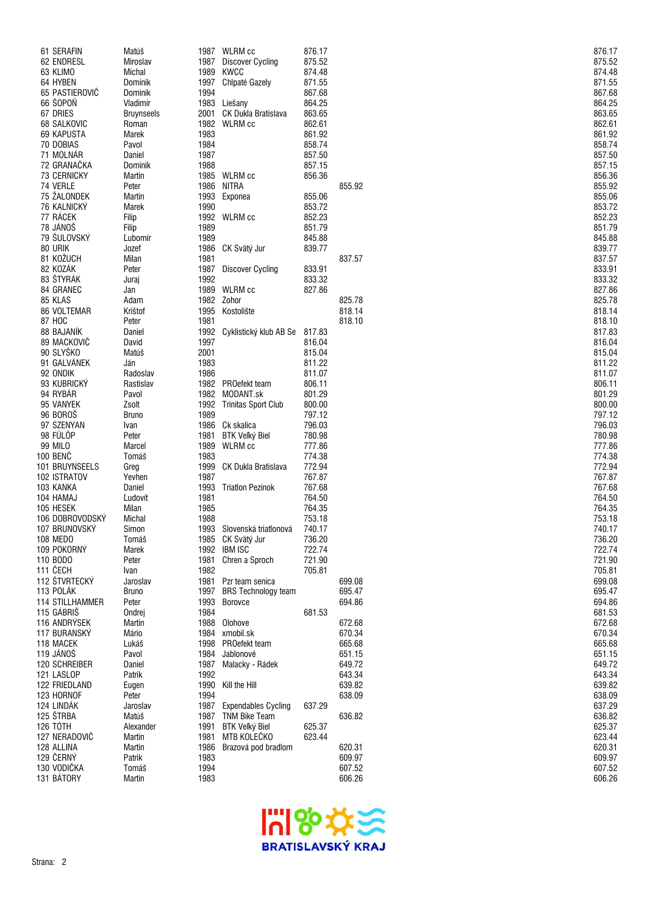| 61 SERAFIN                 | Matúš                         |      | 1987 WLRM cc                        | 876.17           |                  | 876.17           |
|----------------------------|-------------------------------|------|-------------------------------------|------------------|------------------|------------------|
| 62 ENDRESL                 | Miroslav                      |      | 1987 Discover Cycling               | 875.52           |                  | 875.52           |
| 63 KLIMO                   | Michal                        | 1989 | KWCC                                | 874.48           |                  | 874.48           |
| 64 HYBEN<br>65 PASTIEROVIČ | Dominik                       | 1994 | 1997 Chlpaté Gazely                 | 871.55<br>867.68 |                  | 871.55           |
| 66 ŠOPOŇ                   | Dominik                       |      |                                     |                  |                  | 867.68           |
| 67 DRIES                   | Vladimír<br><b>Bruynseels</b> | 2001 | 1983 Liešany<br>CK Dukla Bratislava | 864.25<br>863.65 |                  | 864.25<br>863.65 |
| 68 SALKOVIC                | Roman                         |      | 1982 WLRM cc                        | 862.61           |                  | 862.61           |
| 69 KAPUSTA                 | Marek                         | 1983 |                                     | 861.92           |                  | 861.92           |
| 70 DOBIAS                  | Pavol                         | 1984 |                                     | 858.74           |                  | 858.74           |
| 71 MOLNÁR                  | Daniel                        | 1987 |                                     | 857.50           |                  | 857.50           |
| 72 GRANAČKA                | Dominik                       | 1988 |                                     | 857.15           |                  | 857.15           |
| 73 CERNICKY                | Martin                        |      | 1985 WLRM cc                        | 856.36           |                  | 856.36           |
| 74 VERLE                   | Peter                         | 1986 | NITRA                               |                  | 855.92           | 855.92           |
| 75 ŽALONDEK                | Martin                        | 1993 | Exponea                             | 855.06           |                  | 855.06           |
| 76 KALNICKÝ                | Marek                         | 1990 |                                     | 853.72           |                  | 853.72           |
| 77 RÁCEK                   | Filip                         |      | 1992 WLRM cc                        | 852.23           |                  | 852.23           |
| 78 JÁNOŠ                   | Filip                         | 1989 |                                     | 851.79           |                  | 851.79           |
| 79 ŠULOVSKÝ                | Lubomír                       | 1989 |                                     | 845.88           |                  | 845.88           |
| 80 URIK                    | Jozef                         | 1986 | CK Svätý Jur                        | 839.77           |                  | 839.77           |
| 81 KOŽUCH                  | Milan                         | 1981 |                                     |                  | 837.57           | 837.57           |
| 82 KOZÁK                   | Peter                         | 1987 | Discover Cycling                    | 833.91           |                  | 833.91           |
| 83 ŠTYRÁK                  | Juraj                         | 1992 |                                     | 833.32           |                  | 833.32           |
| 84 GRANEC                  | Jan                           | 1989 | WLRM cc                             | 827.86           |                  | 827.86           |
| 85 KLAS                    | Adam                          |      | 1982 Zohor                          |                  | 825.78           | 825.78           |
| 86 VOLTEMAR                | Krištof                       | 1995 | Kostolište                          |                  | 818.14           | 818.14           |
| 87 HOC                     | Peter                         | 1981 |                                     |                  | 818.10           | 818.10           |
| 88 BAJANÍK                 | Daniel                        |      | 1992 Cyklistický klub AB Se         | 817.83           |                  | 817.83           |
| 89 MACKOVIČ                | David                         | 1997 |                                     | 816.04           |                  | 816.04           |
| 90 SLYŠKO                  | Matúš                         | 2001 |                                     | 815.04           |                  | 815.04           |
| 91 GALVÁNEK<br>92 ONDIK    | Ján                           | 1983 |                                     | 811.22<br>811.07 |                  | 811.22<br>811.07 |
| 93 KUBRICKÝ                | Radoslav<br>Rastislav         | 1986 | 1982 PROefekt team                  | 806.11           |                  | 806.11           |
| 94 RYBAR                   | Pavol                         | 1982 | MODANT.sk                           | 801.29           |                  | 801.29           |
| 95 VANYEK                  | Zsolt                         |      | 1992 Trinitas Sport Club            | 800.00           |                  | 800.00           |
| 96 BOROS                   | <b>Bruno</b>                  | 1989 |                                     | 797.12           |                  | 797.12           |
| 97 SZENYAN                 | Ivan                          |      | 1986 Ck skalica                     | 796.03           |                  | 796.03           |
| 98 FÜLÖP                   | Peter                         | 1981 | BTK Veľký Biel                      | 780.98           |                  | 780.98           |
| <b>99 MILO</b>             | Marcel                        | 1989 | WLRM cc                             | 777.86           |                  | 777.86           |
| 100 BENČ                   | Tomáš                         | 1983 |                                     | 774.38           |                  | 774.38           |
| 101 BRUYNSEELS             | Greg                          | 1999 | CK Dukla Bratislava                 | 772.94           |                  | 772.94           |
| 102 ISTRATOV               | Yevhen                        | 1987 |                                     | 767.87           |                  | 767.87           |
| 103 KANKA                  | Daniel                        | 1993 | <b>Triation Pezinok</b>             | 767.68           |                  | 767.68           |
| 104 HAMAJ                  | Ľudovít                       | 1981 |                                     | 764.50           |                  | 764.50           |
| 105 HESEK                  | Milan                         | 1985 |                                     | 764.35           |                  | 764.35           |
| 106 DOBROVODSKÝ            | Michal                        | 1988 |                                     | 753.18           |                  | 753.18           |
| 107 BRUNOVSKY              | Simon                         |      | 1993 Slovenská triatlonová          | 740.17           |                  | 740.17           |
| 108 MEDO                   | Tomáš                         |      | 1985 CK Svätý Jur                   | 736.20           |                  | 736.20           |
| 109 POKORNÝ                | Marek                         |      | 1992 IBM ISC                        | 722.74           |                  | 722.74           |
| 110 BODO                   | Peter                         | 1981 | Chren a Sproch                      | 721.90           |                  | 721.90           |
| 111 ČECH                   | Ivan                          | 1982 |                                     | 705.81           |                  | 705.81           |
| 112 ŠTVRTECKÝ              | Jaroslav                      | 1981 | Pzr team senica                     |                  | 699.08           | 699.08           |
| 113 POLÁK                  | <b>Bruno</b>                  |      | 1997 BRS Technology team            |                  | 695.47           | 695.47           |
| <b>114 STILLHAMMER</b>     | Peter                         | 1993 | Borovce                             |                  | 694.86           | 694.86           |
| 115 GÁBRIŠ                 | Ondrej                        | 1984 |                                     | 681.53           |                  | 681.53           |
| 116 ANDRÝSEK               | Martin                        | 1988 | Olohove                             |                  | 672.68           | 672.68           |
| 117 BURANSKÝ<br>118 MACEK  | Mário<br>Lukáš                | 1998 | 1984 xmobil.sk<br>PROefekt team     |                  | 670.34<br>665.68 | 670.34<br>665.68 |
| 119 JÁNOŠ                  | Pavol                         | 1984 | Jablonové                           |                  | 651.15           | 651.15           |
| 120 SCHREIBER              | Daniel                        | 1987 | Malacky - Rádek                     |                  | 649.72           | 649.72           |
| 121 LASLOP                 | Patrik                        | 1992 |                                     |                  | 643.34           | 643.34           |
| 122 FRIEDLAND              | Eugen                         | 1990 | Kill the Hill                       |                  | 639.82           | 639.82           |
| 123 HORNOF                 | Peter                         | 1994 |                                     |                  | 638.09           | 638.09           |
| 124 LINDÁK                 | Jaroslav                      | 1987 | <b>Expendables Cycling</b>          | 637.29           |                  | 637.29           |
| 125 ŠTRBA                  | Matúš                         |      | 1987 TNM Bike Team                  |                  | 636.82           | 636.82           |
| 126 TÓTH                   | Alexander                     | 1991 | <b>BTK Veľký Biel</b>               | 625.37           |                  | 625.37           |
| 127 NERADOVIČ              | Martin                        | 1981 | MTB KOLEČKO                         | 623.44           |                  | 623.44           |
| 128 ALLINA                 | Martin                        | 1986 | Brazová pod bradlom                 |                  | 620.31           | 620.31           |
| 129 ČERNÝ                  | Patrik                        | 1983 |                                     |                  | 609.97           | 609.97           |
| 130 VODIČKA                | Tomáš                         | 1994 |                                     |                  | 607.52           | 607.52           |
| 131 BÁTORY                 | Martin                        | 1983 |                                     |                  | 606.26           | 606.26           |
|                            |                               |      |                                     |                  |                  |                  |

| 875.52                     | 876.17<br>--- -- |
|----------------------------|------------------|
| 874.48                     |                  |
| 871.55                     |                  |
| 867.68                     |                  |
| 864.25                     |                  |
| 863.65                     |                  |
| 862.61                     |                  |
| 861.92                     |                  |
| 858.74                     |                  |
| 857.50<br>857.15           |                  |
|                            |                  |
| 856.36                     |                  |
| 855.92                     |                  |
| 855.06                     |                  |
| 853.7                      | 2                |
| 852.23                     |                  |
| 851.79<br>845.88           |                  |
| 839.77                     |                  |
| 83                         | 37.57            |
| 833.91                     |                  |
|                            |                  |
| 833.32                     |                  |
| 825.78                     |                  |
| 818.14                     |                  |
| 818.10                     |                  |
| 817.83                     |                  |
| 816.04                     |                  |
| 815.04                     |                  |
| 811.22                     |                  |
| 811.07                     |                  |
| 806.11                     |                  |
| 801.29                     | €                |
| 800.00                     |                  |
| 7.1<br>79                  | <u>ַ</u>         |
|                            |                  |
| 796.03                     |                  |
| 780.98                     |                  |
| 7                          | 7.86             |
|                            | 74.38            |
| 772.94                     |                  |
| 767.87                     |                  |
| 767.68                     |                  |
| 764.50                     |                  |
| 764.35<br>753.             |                  |
| 740.17                     | 18               |
|                            |                  |
|                            |                  |
| 736.20<br>722.74<br>721.90 |                  |
| 705.81                     |                  |
| 699.08                     |                  |
| 695.47                     |                  |
| 694.86                     |                  |
| 681.53                     |                  |
| 672.68                     |                  |
| 670.34                     |                  |
| 665.68                     |                  |
| 651.15                     |                  |
| 649.72                     |                  |
| 643.34                     |                  |
| 639.82<br>638.09           |                  |
|                            |                  |
| 637.29                     |                  |
| 636.82<br>625.37           |                  |
| 623.44                     |                  |
| 620.31                     |                  |
| 609.97                     |                  |
| 607.52                     |                  |
| 606.26                     |                  |

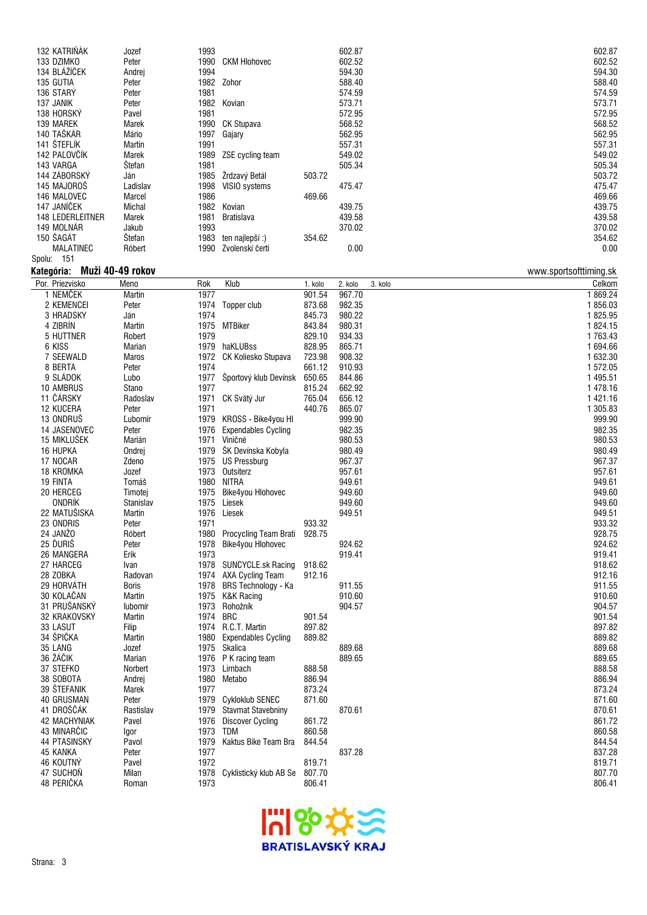| 132 KATRIŇÁK            | Jozef            | 1993         |                                   |                  | 602.87  |         | 602.87                 |
|-------------------------|------------------|--------------|-----------------------------------|------------------|---------|---------|------------------------|
| 133 DZIMKO              | Peter            | 1990         | <b>CKM Hlohovec</b>               |                  | 602.52  |         | 602.52                 |
| 134 BLÁŽÍČEK            |                  |              |                                   |                  | 594.30  |         |                        |
|                         | Andrej           | 1994         |                                   |                  |         |         | 594.30                 |
| 135 GUTIA               | Peter            |              | 1982 Zohor                        |                  | 588.40  |         | 588.40                 |
| 136 STARY               | Peter            | 1981         |                                   |                  | 574.59  |         | 574.59                 |
| 137 JANIK               | Peter            |              | 1982 Kovian                       |                  | 573.71  |         | 573.71                 |
| 138 HORSKÝ              | Pavel            | 1981         |                                   |                  | 572.95  |         | 572.95                 |
| 139 MAREK               | Marek            |              | 1990 CK Stupava                   |                  | 568.52  |         | 568.52                 |
| 140 TAŠKÁR              | Mário            | 1997         | Gajary                            |                  | 562.95  |         | 562.95                 |
| 141 ŠTEFLÍK             |                  |              |                                   |                  |         |         |                        |
|                         | Martin           | 1991         |                                   |                  | 557.31  |         | 557.31                 |
| 142 PALOVČÍK            | Marek            | 1989         | ZSE cycling team                  |                  | 549.02  |         | 549.02                 |
| 143 VARGA               | Štefan           | 1981         |                                   |                  | 505.34  |         | 505.34                 |
| 144 ZÁBORSKÝ            | Ján              | 1985         | Žrdzavý Betál                     | 503.72           |         |         | 503.72                 |
| 145 MAJOROŠ             | Ladislav         | 1998         | VISIO systems                     |                  | 475.47  |         | 475.47                 |
| 146 MALOVEC             | Marcel           | 1986         |                                   | 469.66           |         |         | 469.66                 |
| 147 JANÍČEK             | Michal           |              | 1982 Kovian                       |                  | 439.75  |         | 439.75                 |
| 148 LEDERLEITNER        | Marek            | 1981         | <b>Bratislava</b>                 |                  | 439.58  |         | 439.58                 |
| 149 MOLNÁR              |                  |              |                                   |                  |         |         |                        |
|                         | Jakub            | 1993         |                                   |                  | 370.02  |         | 370.02                 |
| 150 ŠAGÁT               | Štefan           | 1983         | ten najlepší:)                    | 354.62           |         |         | 354.62                 |
| MALATINEC               | Róbert           |              | 1990 Zvolenskí čerti              |                  | 0.00    |         | 0.00                   |
| Spolu: 151              |                  |              |                                   |                  |         |         |                        |
| Kategória:              | Muži 40-49 rokov |              |                                   |                  |         |         | www.sportsofttiming.sk |
| Por. Priezvisko         | Meno             | Rok          | Klub                              | 1. kolo          | 2. kolo | 3. kolo | Celkom                 |
|                         |                  |              |                                   |                  |         |         |                        |
| 1 NEMČEK                | Martin           | 1977         |                                   | 901.54           | 967.70  |         | 1869.24                |
| 2 KEMENCEI              | Peter            |              | 1974 Topper club                  | 873.68           | 982.35  |         | 1856.03                |
| 3 HRADSKY               | Ján              | 1974         |                                   | 845.73           | 980.22  |         | 1825.95                |
| 4 ZIBRÍN                | Martin           |              | 1975 MTBiker                      | 843.84           | 980.31  |         | 1824.15                |
| 5 HUTTNER               | Robert           | 1979         |                                   | 829.10           | 934.33  |         | 1763.43                |
| 6 KISS                  | Marian           |              | 1979 haKLUBss                     | 828.95           | 865.71  |         | 1 694.66               |
| 7 SEEWALD               | Maros            |              | 1972 CK Koliesko Stupava          | 723.98           | 908.32  |         | 1 632.30               |
| 8 BERTA                 | Peter            | 1974         |                                   | 661.12           | 910.93  |         | 1572.05                |
|                         |                  |              |                                   |                  |         |         |                        |
| 9 SLÁDOK                | Lubo             |              | 1977 Športový klub Devínsk        | 650.65           | 844.86  |         | 1 495.51               |
| 10 AMBRUS               | Stano            | 1977         |                                   | 815.24           | 662.92  |         | 1478.16                |
| 11 ČÁRSKY               | Radoslav         |              | 1971 CK Svätý Jur                 | 765.04           | 656.12  |         | 1 421.16               |
| 12 KUCERA               | Peter            | 1971         |                                   | 440.76           | 865.07  |         | 1 305.83               |
| 13 ONDRUŠ               | Ľubomír          |              | 1979 KROSS - Bike4you HI          |                  | 999.90  |         | 999.90                 |
| 14 JASENOVEC            | Peter            | 1976         | <b>Expendables Cycling</b>        |                  | 982.35  |         | 982.35                 |
| 15 MIKLUŠEK             | Marián           |              | 1971 Viničné                      |                  | 980.53  |         | 980.53                 |
|                         |                  |              |                                   |                  |         |         |                        |
| 16 HUPKA                | Ondrej           |              | 1979 ŠK Devínska Kobyla           |                  | 980.49  |         | 980.49                 |
| 17 NOCAR                | Zdeno            |              | 1975 US Pressburg                 |                  | 967.37  |         | 967.37                 |
| 18 KROMKA               | Jozef            |              | 1973 Outsiterz                    |                  | 957.61  |         | 957.61                 |
| 19 FINTA                | Tomáš            |              | 1980 NITRA                        |                  | 949.61  |         | 949.61                 |
| 20 HERCEG               | Timotej          | 1975         | Bike4you Hlohovec                 |                  | 949.60  |         | 949.60                 |
| ONDRÍK                  | Stanislav        |              | 1975 Liesek                       |                  | 949.60  |         | 949.60                 |
| 22 MATUŠISKA            | Martin           | 1976         | Liesek                            |                  | 949.51  |         | 949.51                 |
| 23 ONDRIS               | Peter            | 1971         |                                   | 933.32           |         |         | 933.32                 |
| 24 JANŽO                | Róbert           |              | 1980 Procycling Team Brati 928.75 |                  |         |         | 928.75                 |
|                         |                  |              |                                   |                  |         |         |                        |
| 25 ĎURIŠ                | Peter            |              | 1978 Bike4you Hlohovec            |                  | 924.62  |         | 924.62                 |
| 26 MANGERA              | Erik             | 1973         |                                   |                  | 919.41  |         | 919.41                 |
| 27 HARCEG               | Ivan             |              | 1978 SUNCYCLE.sk Racing           | 918.62           |         |         | 918.62                 |
| 28 ZOBKA                | Radovan          |              | 1974 AXA Cycling Team             | 912.16           |         |         | 912.16                 |
| 29 HORVÁTH              | <b>Boris</b>     |              | 1978 BRS Technology - Ka          |                  | 911.55  |         | 911.55                 |
| 30 KOLAČAN              | Martin           |              | 1975 K&K Racing                   |                  | 910.60  |         | 910.60                 |
| 31 PRUŠANSKÝ            | ľubomír          |              | 1973 Rohožník                     |                  | 904.57  |         | 904.57                 |
| 32 KRAKOVSKY            | Martin           | 1974 BRC     |                                   | 901.54           |         |         | 901.54                 |
|                         |                  |              |                                   |                  |         |         |                        |
| 33 LASUT                | Filip            |              | 1974 R.C.T. Martin                | 897.82           |         |         | 897.82                 |
| 34 ŠPIČKA               | Martin           |              | 1980 Expendables Cycling          | 889.82           |         |         | 889.82                 |
| 35 LANG                 | Jozef            |              | 1975 Skalica                      |                  | 889.68  |         | 889.68                 |
| 36 ŽÁČIK                |                  |              | 1976 P K racing team              |                  | 889.65  |         | 889.65                 |
| 37 STEFKO               | Marian           |              |                                   |                  |         |         |                        |
|                         | Norbert          |              | 1973 Limbach                      | 888.58           |         |         | 888.58                 |
|                         |                  |              |                                   |                  |         |         |                        |
| 38 SOBOTA               | Andrej           |              | 1980 Metabo                       | 886.94           |         |         | 886.94                 |
| 39 ŠTEFANIK             | Marek            | 1977         |                                   | 873.24           |         |         | 873.24                 |
| 40 GRUSMAN              | Peter            |              | 1979 Cykloklub SENEC              | 871.60           |         |         | 871.60                 |
| 41 DROŠČÁK              | Rastislav        |              | 1979 Stavmat Stavebniny           |                  | 870.61  |         | 870.61                 |
| 42 MACHYNIAK            | Pavel            |              | 1976 Discover Cycling             | 861.72           |         |         | 861.72                 |
| 43 MINARCIC             | Igor             | 1973 TDM     |                                   | 860.58           |         |         | 860.58                 |
| 44 PTASINSKY            | Pavol            | 1979         | Kaktus Bike Team Bra              | 844.54           |         |         | 844.54                 |
| 45 KANKA                | Peter            | 1977         |                                   |                  | 837.28  |         | 837.28                 |
|                         |                  |              |                                   |                  |         |         |                        |
| 46 KOUTNÝ               | Pavel            | 1972         |                                   | 819.71           |         |         | 819.71                 |
| 47 SUCHOŇ<br>48 PERIČKA | Milan<br>Roman   | 1978<br>1973 | Cyklistický klub AB Se            | 807.70<br>806.41 |         |         | 807.70<br>806.41       |

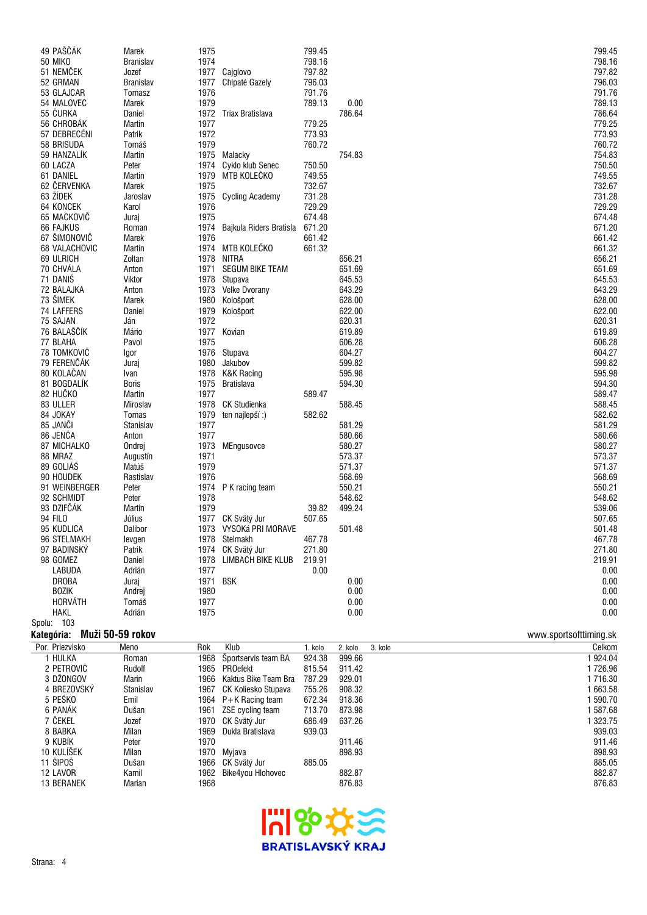| 49 PAŠČÁK        | Marek            | 1975     |                              | 799.45 |        | 799.45 |
|------------------|------------------|----------|------------------------------|--------|--------|--------|
| <b>50 MIKO</b>   | <b>Branislav</b> | 1974     |                              | 798.16 |        | 798.16 |
| 51 NEMČEK        | Jozef            |          | 1977 Cajglovo                | 797.82 |        | 797.82 |
| 52 GRMAN         | <b>Branislav</b> | 1977     | Chlpaté Gazely               | 796.03 |        | 796.03 |
| 53 GLAJCAR       | Tomasz           | 1976     |                              | 791.76 |        | 791.76 |
| 54 MALOVEC       | Marek            | 1979     |                              | 789.13 | 0.00   | 789.13 |
| 55 ČURKA         | Daniel           | 1972     | Triax Bratislava             |        | 786.64 | 786.64 |
| 56 CHROBÁK       | Martin           | 1977     |                              | 779.25 |        | 779.25 |
| 57 DEBRECÉNI     |                  |          |                              | 773.93 |        |        |
|                  | Patrik           | 1972     |                              |        |        | 773.93 |
| 58 BRISUDA       | Tomáš            | 1979     |                              | 760.72 |        | 760.72 |
| 59 HANZALÍK      | Martin           | 1975     | Malacky                      |        | 754.83 | 754.83 |
| 60 LACZA         | Peter            | 1974     | Cyklo klub Senec             | 750.50 |        | 750.50 |
| 61 DANIEL        | Martin           | 1979     | MTB KOLEČKO                  | 749.55 |        | 749.55 |
| 62 ČERVENKA      | Marek            | 1975     |                              | 732.67 |        | 732.67 |
| 63 ŽÍDEK         | Jaroslav         |          | 1975 Cycling Academy         | 731.28 |        | 731.28 |
| 64 KONCEK        | Karol            | 1976     |                              | 729.29 |        | 729.29 |
| 65 MACKOVIČ      | Juraj            | 1975     |                              | 674.48 |        | 674.48 |
| <b>66 FAJKUS</b> | Roman            |          | 1974 Bajkula Riders Bratisla | 671.20 |        | 671.20 |
| 67 ŠIMONOVIČ     | Marek            | 1976     |                              | 661.42 |        | 661.42 |
| 68 VALACHOVIC    | Martin           |          | 1974 MTB KOLEČKO             | 661.32 |        | 661.32 |
| 69 ULRICH        | Zoltan           | 1978     | NITRA                        |        | 656.21 | 656.21 |
| 70 CHVÁLA        | Anton            |          | 1971 SEGUM BIKE TEAM         |        | 651.69 | 651.69 |
| 71 DANIŠ         | Viktor           |          | 1978 Stupava                 |        | 645.53 | 645.53 |
| 72 BALAJKA       | Anton            |          | 1973 Velke Dvorany           |        | 643.29 | 643.29 |
| 73 ŠIMEK         | Marek            | 1980     | Kološport                    |        | 628.00 | 628.00 |
| 74 LAFFERS       | Daniel           | 1979     | Kološport                    |        | 622.00 | 622.00 |
| 75 SAJAN         | Ján              | 1972     |                              |        | 620.31 | 620.31 |
| 76 BALAŠČÍK      | Mário            | 1977     | Kovian                       |        | 619.89 | 619.89 |
| 77 BLAHA         | Pavol            | 1975     |                              |        | 606.28 | 606.28 |
| 78 TOMKOVIČ      | Igor             |          | 1976 Stupava                 |        | 604.27 | 604.27 |
| 79 FERENČÁK      | Juraj            | 1980     | Jakubov                      |        | 599.82 | 599.82 |
| 80 KOLAČAN       | Ivan             |          | 1978 K&K Racing              |        | 595.98 | 595.98 |
| 81 BOGDALÍK      | Boris            | 1975     | Bratislava                   |        | 594.30 | 594.30 |
| 82 HUČKO         | Martin           | 1977     |                              | 589.47 |        | 589.47 |
| 83 ULLER         | Miroslav         | 1978     | CK Studienka                 |        | 588.45 | 588.45 |
| 84 JOKAY         | Tomas            | 1979     |                              | 582.62 |        | 582.62 |
|                  |                  |          | ten najlepší:)               |        |        |        |
| 85 JANČI         | Stanislav        | 1977     |                              |        | 581.29 | 581.29 |
| 86 JENČA         | Anton            | 1977     |                              |        | 580.66 | 580.66 |
| 87 MICHALKO      | Ondrej           |          | 1973 MEngusovce              |        | 580.27 | 580.27 |
| 88 MRAZ          | Augustín         | 1971     |                              |        | 573.37 | 573.37 |
| 89 GOLIÁŠ        | Matúš            | 1979     |                              |        | 571.37 | 571.37 |
| 90 HOUDEK        | Rastislav        | 1976     |                              |        | 568.69 | 568.69 |
| 91 WEINBERGER    | Peter            | 1974     | P K racing team              |        | 550.21 | 550.21 |
| 92 SCHMIDT       | Peter            | 1978     |                              |        | 548.62 | 548.62 |
| 93 DZIFČÁK       | Martin           | 1979     |                              | 39.82  | 499.24 | 539.06 |
| 94 FILO          | Július           |          | 1977 CK Svätý Jur            | 507.65 |        | 507.65 |
| 95 KUDLICA       | Dalibor          | 1973     | VYSOKá PRI MORAVE            |        | 501.48 | 501.48 |
| 96 STELMAKH      | levgen           |          | 1978 Stelmakh                | 467.78 |        | 467.78 |
| 97 BADINSKÝ      | Patrik           |          | 1974 CK Svätý Jur            | 271.80 |        | 271.80 |
| 98 GOMEZ         | Daniel           | 1978     | LIMBACH BIKE KLUB            | 219.91 |        | 219.91 |
| LABUDA           | Adrián           | 1977     |                              | 0.00   |        | 0.00   |
| DROBA            | Juraj            | 1971 BSK |                              |        | 0.00   | 0.00   |
| <b>BOZIK</b>     | Andrej           | 1980     |                              |        | 0.00   | 0.00   |
| <b>HORVÁTH</b>   | Tomáš            | 1977     |                              |        | 0.00   | 0.00   |
| <b>HAKL</b>      | Adrián           | 1975     |                              |        | 0.00   | 0.00   |
| Spolu: 103       |                  |          |                              |        |        |        |

## **Kategória: Muži 50-59 rokov** www.sportsofttiming.sk

| Por. Priezvisko   | Meno          | Rok  | Klub                 | 1. kolo | 2. kolo | 3. kolo | Celkom   |
|-------------------|---------------|------|----------------------|---------|---------|---------|----------|
| I HULKA           | Roman         | 1968 | Sportservis team BA  | 924.38  | 999.66  |         | 924.04   |
| 2 PETROVIČ        | Rudolf        | 1965 | <b>PROefekt</b>      | 815.54  | 911.42  |         | 1 726.96 |
| 3 DŽONGOV         | <b>Marin</b>  | 1966 | Kaktus Bike Team Bra | 787.29  | 929.01  |         | 1 716.30 |
| 4 BREZOVSKÝ       | Stanislav     | 1967 | CK Koliesko Stupava  | 755.26  | 908.32  |         | 663.58   |
| 5 PEŠKO           | Emil          |      | 1964 P+K Racing team | 672.34  | 918.36  |         | 590.70   |
| 6 PANAK           | Dušan         | 1961 | ZSE cycling team     | 713.70  | 873.98  |         | 587.68   |
| 7 čekeľ           | Jozef         | 1970 | CK Svätý Jur         | 686.49  | 637.26  |         | 323.75   |
| 8 BABKA           | Milan         | 1969 | Dukla Bratislava     | 939.03  |         |         | 939.03   |
| 9 KUBIK           | Peter         | 1970 |                      |         | 911.46  |         | 911.46   |
| 10 KULÍŠEK        | Milan         | 1970 | Mviava               |         | 898.93  |         | 898.93   |
| 11 ŠIPOŠ          | Dušan         | 1966 | CK Svätý Jur         | 885.05  |         |         | 885.05   |
| 12 LAVOR          | Kamil         | 1962 | Bike4you Hlohovec    |         | 882.87  |         | 882.87   |
| <b>13 BERANEK</b> | <b>Marian</b> | 1968 |                      |         | 876.83  |         | 876.83   |
|                   |               |      |                      |         |         |         |          |

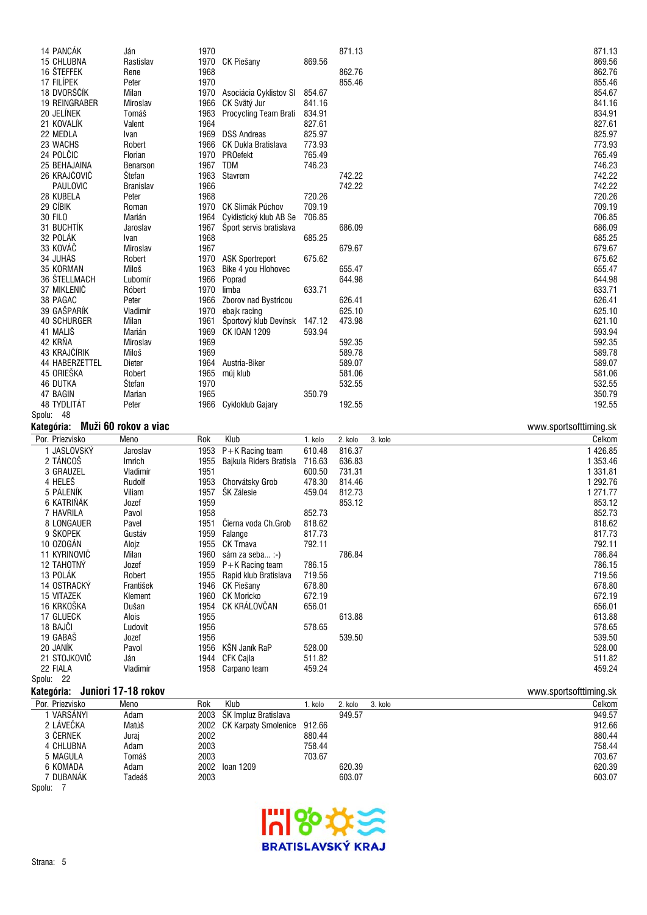| Kategória:           | Muži 60 rokov a viac |      |                              |        |        | www.sportsofttiming.sk |
|----------------------|----------------------|------|------------------------------|--------|--------|------------------------|
| Spolu: 48            |                      |      |                              |        |        |                        |
| 48 TYDLITÁT          | Peter                |      | 1966 Cykloklub Gajary        |        | 192.55 | 192.55                 |
| 47 BAGIN             | Marian               | 1965 |                              | 350.79 |        | 350.79                 |
| <b>46 DUTKA</b>      | Štefan               | 1970 |                              |        | 532.55 | 532.55                 |
| 45 ORIEŠKA           | Robert               | 1965 | múj klub                     |        | 581.06 | 581.06                 |
| 44 HABERZETTEL       | Dieter               |      | 1964 Austria-Biker           |        | 589.07 | 589.07                 |
| 43 KRAJČÍRIK         | Miloš                | 1969 |                              |        | 589.78 | 589.78                 |
| 42 KRŇA              | Miroslav             | 1969 |                              |        | 592.35 | 592.35                 |
| 41 MALIŠ             | Marián               | 1969 | <b>CK IOAN 1209</b>          | 593.94 |        | 593.94                 |
| <b>40 SCHURGER</b>   | Milan                | 1961 | Športový klub Devínsk 147.12 |        | 473.98 | 621.10                 |
| 39 GAŠPARÍK          | Vladimír             | 1970 | ebajk racing                 |        | 625.10 | 625.10                 |
| 38 PAGAC             | Peter                | 1966 | Zborov nad Bystricou         |        | 626.41 | 626.41                 |
| 37 MIKLENIČ          | Róbert               | 1970 | limba                        | 633.71 |        | 633.71                 |
| 36 ŠTELLMACH         | Ľubomír              | 1966 | Poprad                       |        | 644.98 | 644.98                 |
| 35 KORMAN            | Miloš                | 1963 | Bike 4 you Hlohovec          |        | 655.47 | 655.47                 |
| 34 JUHÁS             | Robert               |      | 1970 ASK Sportreport         | 675.62 |        | 675.62                 |
| 33 KOVÁČ             | Miroslav             | 1967 |                              |        | 679.67 | 679.67                 |
| 32 POLÁK             | Ivan                 | 1968 |                              | 685.25 |        | 685.25                 |
| 31 BUCHTÍK           | Jaroslav             | 1967 | Sport servis bratislava      |        | 686.09 | 686.09                 |
| <b>30 FILO</b>       | Marián               | 1964 | Cyklistický klub AB Se       | 706.85 |        | 706.85                 |
| 29 CÍBIK             | Roman                |      | 1970 CK Slimák Púchov        | 709.19 |        | 709.19                 |
| 28 KUBELA            | Peter                | 1968 |                              | 720.26 |        | 720.26                 |
| PAULOVIC             | <b>Branislav</b>     | 1966 |                              |        | 742.22 | 742.22                 |
| 26 KRAJČOVIČ         | Štefan               | 1963 | Stavrem                      |        | 742.22 | 742.22                 |
| 25 BEHAJAINA         | Benarson             | 1967 | <b>TDM</b>                   | 746.23 |        | 746.23                 |
| 24 POLČIC            | Florian              | 1970 | PROefekt                     | 765.49 |        | 765.49                 |
| 23 WACHS             | Robert               | 1966 | CK Dukla Bratislava          | 773.93 |        | 773.93                 |
| 22 MEDLA             | Ivan                 | 1969 | <b>DSS Andreas</b>           | 825.97 |        | 825.97                 |
| 21 KOVALÍK           | Valent               | 1964 |                              | 827.61 |        | 827.61                 |
| 20 JELÍNEK           | Tomáš                | 1963 | Procycling Team Brati        | 834.91 |        | 834.91                 |
| <b>19 REINGRABER</b> | Miroslav             | 1966 | CK Svätý Jur                 | 841.16 |        | 841.16                 |
| 18 DVORŠČÍK          | Milan                | 1970 | Asociácia Cyklistov SI       | 854.67 |        | 854.67                 |
| 17 FILÍPEK           | Peter                | 1970 |                              |        | 855.46 | 855.46                 |
| 16 ŠTEFFEK           | Rene                 | 1968 |                              |        | 862.76 | 862.76                 |
| 15 CHLUBNA           | Rastislav            |      | 1970 CK Piešany              | 869.56 |        | 869.56                 |
| 14 PANCÁK            | Ján                  | 1970 |                              |        | 871.13 | 871.13                 |
|                      |                      |      |                              |        |        |                        |

| Por. Priezvisko   | Meno      | Rok  | Klub                    | 1. kolo | 2. kolo | 3. kolo | Celkom   |
|-------------------|-----------|------|-------------------------|---------|---------|---------|----------|
| JASLOVSKÝ         | Jaroslav  | 1953 | P+K Racing team         | 610.48  | 816.37  |         | 426.85   |
| 2 TÁNCOŠ          | Imrich    | 1955 | Bajkula Riders Bratisla | 716.63  | 636.83  |         | 1 353.46 |
| 3 GRAUZEL         | Vladimír  | 1951 |                         | 600.50  | 731.31  |         | 1 331.81 |
| 4 HELEŠ           | Rudolf    | 1953 | Chorvátsky Grob         | 478.30  | 814.46  |         | 292.76   |
| 5 PÁLENÍK         | Viliam    | 1957 | ŠK Zálesie              | 459.04  | 812.73  |         | 1 271.77 |
| 6 KATRINAK        | Jozef     | 1959 |                         |         | 853.12  |         | 853.12   |
| 7 HAVRILA         | Pavol     | 1958 |                         | 852.73  |         |         | 852.73   |
| 8 LONGAUER        | Pavel     | 1951 | Cierna voda Ch.Grob     | 818.62  |         |         | 818.62   |
| 9 ŠKOPEK          | Gustáv    | 1959 | Falange                 | 817.73  |         |         | 817.73   |
| 10 OZOGÁN         | Alojz     | 1955 | CK Trnava               | 792.11  |         |         | 792.11   |
| 11 KYRINOVIČ      | Milan     | 1960 | sám za seba :-)         |         | 786.84  |         | 786.84   |
| <b>12 TAHOTNY</b> | Jozef     | 1959 | P+K Racing team         | 786.15  |         |         | 786.15   |
| 13 POLÁK          | Robert    | 1955 | Rapid klub Bratislava   | 719.56  |         |         | 719.56   |
| 14 OSTRACKY       | František | 1946 | CK Piešany              | 678.80  |         |         | 678.80   |
| 15 VITAZEK        | Klement   | 1960 | CK Moricko              | 672.19  |         |         | 672.19   |
| 16 KRKOŠKA        | Dušan     | 1954 | CK KRÁĽOVČAN            | 656.01  |         |         | 656.01   |
| 17 GLUECK         | Alois     | 1955 |                         |         | 613.88  |         | 613.88   |
| 18 BAJCI          | Ľudovit   | 1956 |                         | 578.65  |         |         | 578.65   |
| 19 GABAS          | Jozef     | 1956 |                         |         | 539.50  |         | 539.50   |
| 20 JANIK          | Pavol     | 1956 | KŠN Janík RaP           | 528.00  |         |         | 528.00   |
| 21 STOJKOVIĆ      | Ján       | 1944 | CFK Cajla               | 511.82  |         |         | 511.82   |
| 22 FIALA          | Vladimír  | 1958 | Carpano team            | 459.24  |         |         | 459.24   |
| Spolu: 22         |           |      |                         |         |         |         |          |

## **Kategória: Juniori 17-18 rokov** www.sportsofttiming.sk

| Por. Priezvisko | Meno   | Rok  | Klub                        | . kolo | 2. kolo | 3. kolo | Celkom |
|-----------------|--------|------|-----------------------------|--------|---------|---------|--------|
| 1 VARSÁNYI      | Adam   | 2003 | ŠK Impluz Bratislava        |        | 949.57  |         | 949.57 |
| 2 LÁVEČKA       | Matúš  | 2002 | <b>CK Karpaty Smolenice</b> | 912.66 |         |         | 912.66 |
| 3 ČERNEK        | Jurai  | 2002 |                             | 880.44 |         |         | 880.44 |
| 4 CHLUBNA       | Adam   | 2003 |                             | 758.44 |         |         | 758.44 |
| 5 MAGULA        | Tomáš  | 2003 |                             | 703.67 |         |         | 703.67 |
| 6 KOMADA        | Adam   | 2002 | loan 1209                   |        | 620.39  |         | 620.39 |
| 7 DUBANÁK       | Tadeáš | 2003 |                             |        | 603.07  |         | 603.07 |
| _____           |        |      |                             |        |         |         |        |

Spolu: 7

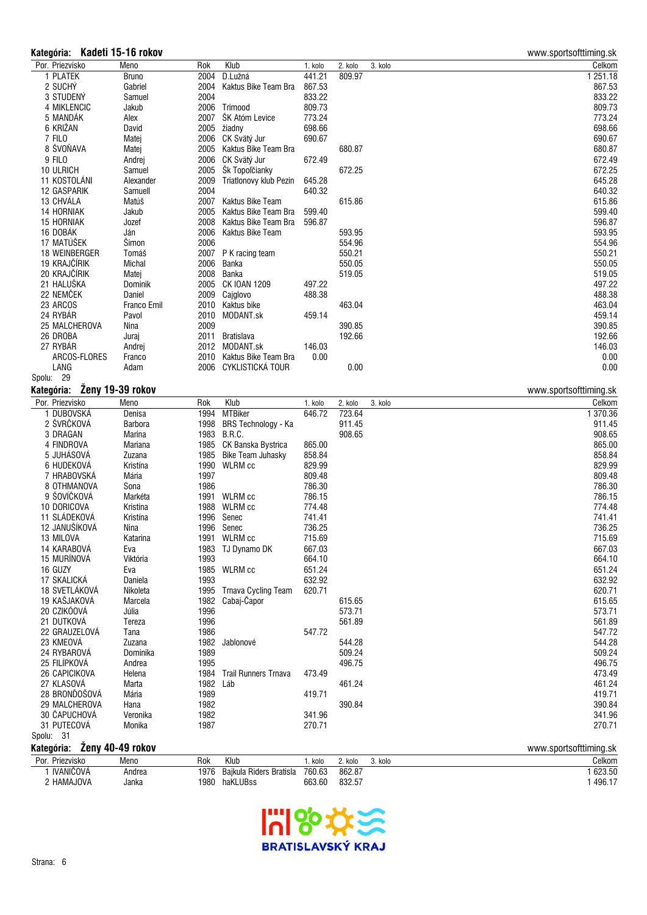### **Kategória: Kadeti 15-16 rokov** www.sportsofttiming.sk

| Por. Priezvisko            | Meno             | Rok  | Klub                                           | 1. kolo          | 2. kolo | 3. kolo | Celkom                 |
|----------------------------|------------------|------|------------------------------------------------|------------------|---------|---------|------------------------|
| 1 PLATEK                   | <b>Bruno</b>     | 2004 | D.Lužná                                        | 441.21           | 809.97  |         | 1251.18                |
| 2 SUCHY                    | Gabriel          | 2004 | Kaktus Bike Team Bra                           | 867.53           |         |         | 867.53                 |
| 3 STUDENÝ                  | Samuel           | 2004 |                                                | 833.22           |         |         | 833.22                 |
| 4 MIKLENCIC                | Jakub            |      | 2006 Trimood                                   | 809.73           |         |         | 809.73                 |
| 5 MANDÁK                   | Alex             | 2007 | ŠK Atóm Levice                                 | 773.24           |         |         | 773.24                 |
| 6 KRIŽAN                   | David            |      | 2005 žiadny                                    | 698.66           |         |         | 698.66                 |
| 7 FILO                     | Matej            | 2006 | CK Svätý Jur                                   | 690.67           |         |         | 690.67                 |
| 8 ŠVOŇAVA                  | Matej            | 2005 | Kaktus Bike Team Bra                           |                  | 680.87  |         | 680.87                 |
| 9 FILO                     | Andrej           | 2006 | CK Svätý Jur                                   | 672.49           |         |         | 672.49                 |
| 10 ULRICH                  | Samuel           | 2005 | Šk Topoľčianky                                 |                  | 672.25  |         | 672.25                 |
| 11 KOSTOLÁNI               | Alexander        | 2009 | Triatlonovy klub Pezin                         | 645.28           |         |         | 645.28                 |
| 12 GASPARIK                | Samuell          | 2004 |                                                | 640.32           |         |         | 640.32                 |
| 13 CHVÁLA                  | Matúš            |      | 2007 Kaktus Bike Team                          |                  | 615.86  |         | 615.86                 |
| 14 HORNIAK                 | Jakub            | 2005 | Kaktus Bike Team Bra                           | 599.40           |         |         | 599.40                 |
| 15 HORNIAK                 | Jozef            | 2008 | Kaktus Bike Team Bra                           | 596.87           |         |         | 596.87                 |
| 16 DOBÁK                   | Ján              | 2006 | Kaktus Bike Team                               |                  | 593.95  |         | 593.95                 |
| 17 MATÚŠEK                 | Šimon            | 2006 |                                                |                  | 554.96  |         | 554.96                 |
| 18 WEINBERGER              | Tomáš            |      | 2007 P K racing team                           |                  | 550.21  |         | 550.21                 |
| 19 KRAJČÍRIK               | Michal           | 2006 | Banka                                          |                  | 550.05  |         | 550.05                 |
| 20 KRAJČÍRIK               | Matej            | 2008 | Banka                                          |                  | 519.05  |         | 519.05                 |
| 21 HALUŠKA                 | Dominik          |      | 2005 CK IOAN 1209                              | 497.22           |         |         | 497.22                 |
| 22 NEMČEK                  | Daniel           | 2009 | Cajglovo                                       | 488.38           |         |         | 488.38                 |
| 23 ARCOS                   | Franco Emil      |      | 2010 Kaktus bike                               |                  | 463.04  |         | 463.04                 |
| 24 RYBÁR                   | Pavol            | 2010 | MODANT.sk                                      | 459.14           |         |         | 459.14                 |
| 25 MALCHEROVA              | Nina             | 2009 |                                                |                  | 390.85  |         | 390.85                 |
| 26 DROBA                   | Juraj            |      | 2011 Bratislava                                |                  | 192.66  |         | 192.66                 |
| 27 RYBÁR                   | Andrej           |      | 2012 MODANT.sk                                 | 146.03           |         |         | 146.03                 |
| ARCOS-FLORES               | Franco           |      | 2010 Kaktus Bike Team Bra                      | 0.00             |         |         | 0.00                   |
| LANG                       | Adam             | 2006 | CYKLISTICKÁ TOUR                               |                  | 0.00    |         | 0.00                   |
| Spolu: 29                  |                  |      |                                                |                  |         |         |                        |
| Kategória:                 | Zeny 19-39 rokov |      |                                                |                  |         |         | www.sportsofttiming.sk |
| Por. Priezvisko            | Meno             | Rok  | Klub                                           | 1. kolo          | 2. kolo | 3. kolo | Celkom                 |
| 1 DUBOVSKÁ                 | Denisa           | 1994 | <b>MTBiker</b>                                 | 646.72           | 723.64  |         | 1 370.36               |
|                            |                  |      |                                                |                  |         |         | 911.45                 |
|                            | <b>Barbora</b>   | 1998 |                                                |                  | 911.45  |         |                        |
| 2 ŠVRČKOVÁ                 | Marina           |      | <b>BRS Technology - Ka</b>                     |                  |         |         |                        |
| 3 DRAGAN<br>4 FINDROVA     | Mariana          | 1985 | 1983 B.R.C.                                    | 865.00           | 908.65  |         | 908.65                 |
| 5 JUHÁSOVÁ                 | Zuzana           | 1985 | CK Banska Bystrica<br><b>Bike Team Juhasky</b> | 858.84           |         |         | 865.00<br>858.84       |
|                            | Kristína         |      |                                                |                  |         |         |                        |
| 6 HUDEKOVÁ<br>7 HRABOVSKÁ  |                  | 1990 | WLRM cc                                        | 829.99<br>809.48 |         |         | 829.99<br>809.48       |
| 8 OTHMANOVA                | Mária<br>Sona    | 1997 |                                                |                  |         |         |                        |
| 9 ŠOVÍČKOVÁ                | Markéta          | 1986 | 1991 WLRM cc                                   | 786.30<br>786.15 |         |         | 786.30<br>786.15       |
| 10 DORICOVA                | Kristina         | 1988 | <b>WLRM</b> cc                                 | 774.48           |         |         | 774.48                 |
| 11 SLADEKOVÁ               | Kristína         | 1996 | Senec                                          | 741.41           |         |         | 741.41                 |
|                            | Nina             | 1996 | Senec                                          | 736.25           |         |         | 736.25                 |
| 12 JANUŠÍKOVÁ<br>13 MILOVA | Katarina         |      | 1991 WLRM cc                                   | 715.69           |         |         | 715.69                 |
| 14 KARABOVÁ                | Eva              |      | 1983 TJ Dynamo DK                              | 667.03           |         |         | 667.03                 |
| 15 MURÍNOVÁ                | Viktória         | 1993 |                                                | 664.10           |         |         | 664.10                 |
| 16 GUZY                    | Eva              |      | 1985 WLRM cc                                   | 651.24           |         |         | 651.24                 |
| 17 SKALICKÁ                | Daniela          | 1993 |                                                | 632.92           |         |         | 632.92                 |
| 18 SVETLÁKOVÁ              | Nikoleta         | 1995 | <b>Trnava Cycling Team</b>                     | 620.71           |         |         | 620.71                 |
| 19 KAŠJAKOVÁ               | Marcela          | 1982 | Cabaj-Čapor                                    |                  | 615.65  |         | 615.65                 |
| 20 CZIKÓOVÁ                | Júlia            | 1996 |                                                |                  | 573.71  |         | 573.71                 |
| 21 DUTKOVÁ                 | Tereza           | 1996 |                                                |                  | 561.89  |         | 561.89                 |
| 22 GRAUZELOVÁ              | Tana             | 1986 |                                                | 547.72           |         |         | 547.72                 |
| 23 KMEOVÁ                  | Zuzana           | 1982 | Jablonové                                      |                  | 544.28  |         | 544.28                 |
| 24 RYBAROVÁ                | Dominika         | 1989 |                                                |                  | 509.24  |         | 509.24                 |
| 25 FILÍPKOVÁ               | Andrea           | 1995 |                                                |                  | 496.75  |         | 496.75                 |
| 26 CAPICIKOVA              | Helena           | 1984 | <b>Trail Runners Trnava</b>                    | 473.49           |         |         | 473.49                 |
| 27 KLASOVÁ                 | Marta            | 1982 | Láb                                            |                  | 461.24  |         | 461.24                 |
| 28 BRONDOŠOVÁ              | Mária            | 1989 |                                                | 419.71           |         |         | 419.71                 |
| 29 MALCHEROVA              | Hana             | 1982 |                                                |                  | 390.84  |         | 390.84                 |
| 30 ČAPUCHOVÁ               | Veronika         | 1982 |                                                | 341.96           |         |         | 341.96                 |
| 31 PUTECOVÁ                | Monika           | 1987 |                                                | 270.71           |         |         | 270.71                 |
| Spolu: 31                  |                  |      |                                                |                  |         |         |                        |
| Kategória:                 | Ženy 40-49 rokov |      |                                                |                  |         |         | www.sportsofttiming.sk |
| Por. Priezvisko            | Meno             | Rok  | Klub                                           | 1. kolo          | 2. kolo | 3. kolo | Celkom                 |
| 1 IVANIČOVÁ                | Andrea           | 1976 | Bajkula Riders Bratisla                        | 760.63           | 862.87  |         | 1 623.50               |